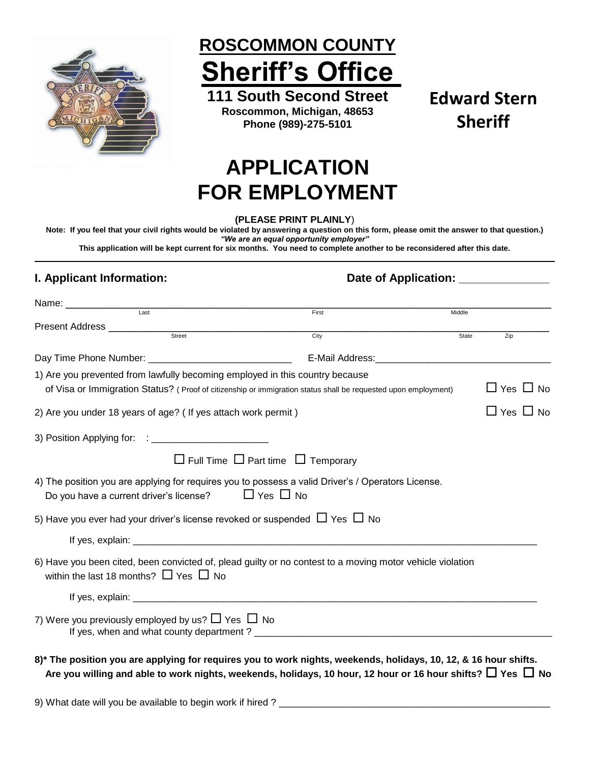

**ROSCOMMON COUNTY Sheriff's Office**

**111 South Second Street Roscommon, Michigan, 48653 Phone (989)-275-5101**

**Edward Stern Sheriff**

# **APPLICATION FOR EMPLOYMENT**

**(PLEASE PRINT PLAINLY**)

**Note: If you feel that your civil rights would be violated by answering a question on this form, please omit the answer to that question.)** *"We are an equal opportunity employer"*

**This application will be kept current for six months. You need to complete another to be reconsidered after this date.**

### **I. Applicant Information: Date of Application: Date of Application: Date of Application: Date of Application:**

|                                                 | Last                                                                         | First                                                                                                            | Middle |                      |
|-------------------------------------------------|------------------------------------------------------------------------------|------------------------------------------------------------------------------------------------------------------|--------|----------------------|
|                                                 |                                                                              | $\overline{City}$                                                                                                |        |                      |
|                                                 |                                                                              |                                                                                                                  | State  | Zip                  |
|                                                 |                                                                              | E-Mail Address: E-Mail Address:                                                                                  |        |                      |
|                                                 | 1) Are you prevented from lawfully becoming employed in this country because |                                                                                                                  |        |                      |
|                                                 |                                                                              | of Visa or Immigration Status? (Proof of citizenship or immigration status shall be requested upon employment)   |        | $\Box$ Yes $\Box$ No |
|                                                 | 2) Are you under 18 years of age? (If yes attach work permit)                |                                                                                                                  |        | $\Box$ Yes $\Box$ No |
|                                                 |                                                                              |                                                                                                                  |        |                      |
|                                                 |                                                                              | $\Box$ Full Time $\Box$ Part time $\Box$ Temporary                                                               |        |                      |
|                                                 |                                                                              | 4) The position you are applying for requires you to possess a valid Driver's / Operators License.               |        |                      |
|                                                 | Do you have a current driver's license? $\Box$ Yes $\Box$ No                 |                                                                                                                  |        |                      |
|                                                 |                                                                              | 5) Have you ever had your driver's license revoked or suspended $\Box$ Yes $\Box$ No                             |        |                      |
|                                                 |                                                                              |                                                                                                                  |        |                      |
| within the last 18 months? $\Box$ Yes $\Box$ No |                                                                              | 6) Have you been cited, been convicted of, plead guilty or no contest to a moving motor vehicle violation        |        |                      |
|                                                 |                                                                              |                                                                                                                  |        |                      |
|                                                 | 7) Were you previously employed by us? $\Box$ Yes $\Box$ No                  |                                                                                                                  |        |                      |
|                                                 |                                                                              | 8)* The position you are applying for requires you to work nights, weekends, holidays, 10, 12, & 16 hour shifts. |        |                      |

Are you willing and able to work nights, weekends, holidays, 10 hour, 12 hour or 16 hour shifts?  $\Box$  Yes  $\Box$  No

9) What date will you be available to begin work if hired ?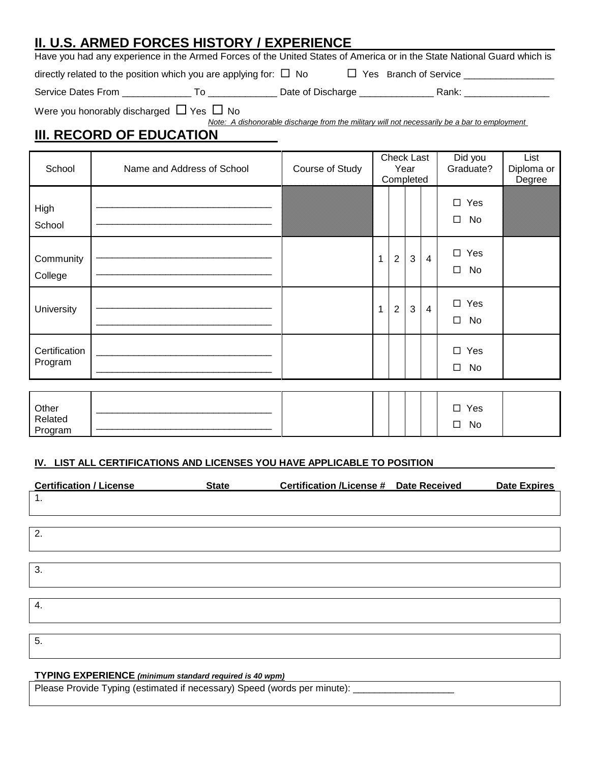# **II. U.S. ARMED FORCES HISTORY / EXPERIENCE**

Have you had any experience in the Armed Forces of the United States of America or in the State National Guard which is

directly related to the position which you are applying for:  $\Box$  No  $\Box$  Yes Branch of Service  $\_\_\_\_\_\_\_\_\_\_\_\_\_\_\_\_\_\_\_\_$ 

Program

Service Dates From \_\_\_\_\_\_\_\_\_\_\_\_\_ To \_\_\_\_\_\_\_\_\_\_\_\_\_ Date of Discharge \_\_\_\_\_\_\_\_\_\_\_\_\_\_ Rank: \_\_\_\_\_\_\_\_\_\_\_\_\_\_\_\_

Were you honorably discharged  $\Box$  Yes  $\Box$  No

*Note: A dishonorable discharge from the military will not necessarily be a bar to employment* 

# **III. RECORD OF EDUCATION**

| School                           | Name and Address of School | Course of Study |              | Check Last<br>Completed | Year         |                | Did you<br>Graduate?          | List<br>Diploma or<br>Degree |
|----------------------------------|----------------------------|-----------------|--------------|-------------------------|--------------|----------------|-------------------------------|------------------------------|
| High<br>School                   |                            |                 |              |                         |              |                | $\Box$<br>Yes<br>$\Box$<br>No |                              |
| Community<br>College             |                            |                 | 1            | $\overline{2}$          | $\mathbf{3}$ | $\overline{4}$ | $\square$ Yes<br>$\Box$<br>No |                              |
| University                       |                            |                 | $\mathbf{1}$ | $\overline{2}$          | 3            | $\overline{4}$ | Yes<br>$\Box$<br>No<br>$\Box$ |                              |
| Certification<br>Program         |                            |                 |              |                         |              |                | $\square$ Yes<br>$\Box$<br>No |                              |
|                                  |                            |                 |              |                         |              |                |                               |                              |
| Other<br>Related<br>Dz < Rz < Rz |                            |                 |              |                         |              |                | Yes<br>$\Box$<br>No<br>□      |                              |

#### **IV. LIST ALL CERTIFICATIONS AND LICENSES YOU HAVE APPLICABLE TO POSITION**

| <b>Certification / License</b> | <b>State</b> | Certification /License # Date Received | Date Expires |
|--------------------------------|--------------|----------------------------------------|--------------|
| 1.                             |              |                                        |              |
|                                |              |                                        |              |
| 2.                             |              |                                        |              |
|                                |              |                                        |              |
|                                |              |                                        |              |
| 3.                             |              |                                        |              |
|                                |              |                                        |              |
| 4.                             |              |                                        |              |
|                                |              |                                        |              |
| 5.                             |              |                                        |              |
|                                |              |                                        |              |

#### **TYPING EXPERIENCE** *(minimum standard required is 40 wpm)*

Please Provide Typing (estimated if necessary) Speed (words per minute): \_\_\_\_\_\_\_\_\_\_\_\_\_\_\_\_\_\_\_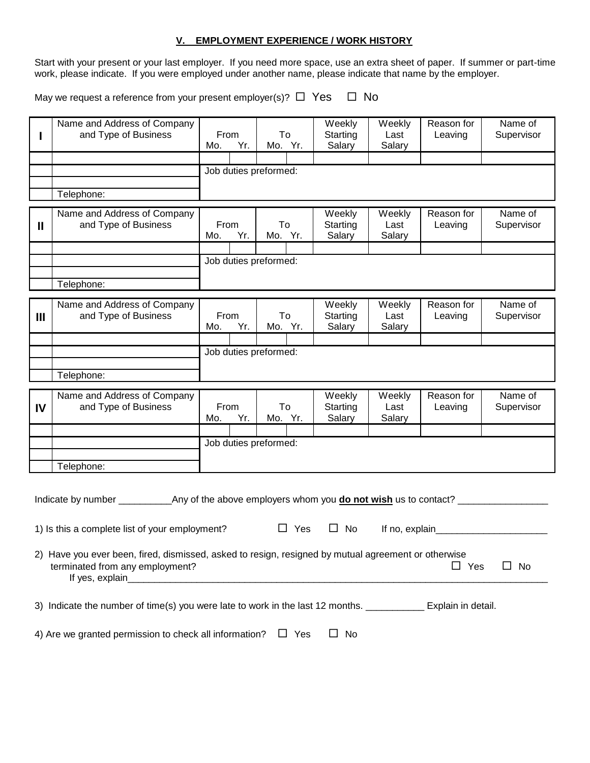#### **V. EMPLOYMENT EXPERIENCE / WORK HISTORY**

Start with your present or your last employer. If you need more space, use an extra sheet of paper. If summer or part-time work, please indicate. If you were employed under another name, please indicate that name by the employer.

May we request a reference from your present employer(s)?  $\Box$  Yes  $\Box$  No

|              | Name and Address of Company                                                                         |                    |     |                       |            | Weekly             | Weekly          | Reason for            | Name of               |
|--------------|-----------------------------------------------------------------------------------------------------|--------------------|-----|-----------------------|------------|--------------------|-----------------|-----------------------|-----------------------|
|              | and Type of Business                                                                                | From<br>Yr.<br>Mo. |     | To<br>Mo. Yr.         |            | Starting<br>Salary | Last<br>Salary  | Leaving               | Supervisor            |
|              |                                                                                                     |                    |     |                       |            |                    |                 |                       |                       |
|              |                                                                                                     |                    |     | Job duties preformed: |            |                    |                 |                       |                       |
|              |                                                                                                     |                    |     |                       |            |                    |                 |                       |                       |
|              | Telephone:                                                                                          |                    |     |                       |            |                    |                 |                       |                       |
|              | Name and Address of Company                                                                         |                    |     |                       |            | Weekly             | Weekly          | Reason for            | Name of               |
| $\mathbf{I}$ | and Type of Business                                                                                | From               |     | To                    |            | Starting           | Last            | Leaving               | Supervisor            |
|              |                                                                                                     | Yr.<br>Mo.         |     | Mo. Yr.               |            | Salary             | Salary          |                       |                       |
|              |                                                                                                     |                    |     | Job duties preformed: |            |                    |                 |                       |                       |
|              |                                                                                                     |                    |     |                       |            |                    |                 |                       |                       |
|              | Telephone:                                                                                          |                    |     |                       |            |                    |                 |                       |                       |
|              |                                                                                                     |                    |     |                       |            |                    |                 |                       |                       |
| Ш            | Name and Address of Company<br>and Type of Business                                                 | From               |     | To                    |            | Weekly<br>Starting | Weekly<br>Last  | Reason for<br>Leaving | Name of<br>Supervisor |
|              |                                                                                                     | Mo.                | Yr. | Mo. Yr.               |            | Salary             | Salary          |                       |                       |
|              |                                                                                                     |                    |     |                       |            |                    |                 |                       |                       |
|              |                                                                                                     |                    |     | Job duties preformed: |            |                    |                 |                       |                       |
|              |                                                                                                     |                    |     |                       |            |                    |                 |                       |                       |
|              | Telephone:                                                                                          |                    |     |                       |            |                    |                 |                       |                       |
|              |                                                                                                     |                    |     |                       |            | Weekly             | Weekly          | Reason for            | Name of               |
|              | Name and Address of Company                                                                         |                    |     |                       |            |                    |                 |                       |                       |
| IV           | and Type of Business                                                                                | From               |     | To                    |            | Starting           | Last            | Leaving               | Supervisor            |
|              |                                                                                                     | Mo.                | Yr. | Mo. Yr.               |            | Salary             | Salary          |                       |                       |
|              |                                                                                                     |                    |     |                       |            |                    |                 |                       |                       |
|              |                                                                                                     |                    |     | Job duties preformed: |            |                    |                 |                       |                       |
|              | Telephone:                                                                                          |                    |     |                       |            |                    |                 |                       |                       |
|              |                                                                                                     |                    |     |                       |            |                    |                 |                       |                       |
|              |                                                                                                     |                    |     |                       |            |                    |                 |                       |                       |
|              |                                                                                                     |                    |     |                       |            |                    |                 |                       |                       |
|              |                                                                                                     |                    |     |                       |            |                    |                 |                       |                       |
|              | 1) Is this a complete list of your employment?                                                      |                    |     |                       | $\Box$ Yes | $\Box$<br>No       | If no, explain_ |                       |                       |
|              | 2) Have you ever been, fired, dismissed, asked to resign, resigned by mutual agreement or otherwise |                    |     |                       |            |                    |                 |                       |                       |
|              | terminated from any employment?                                                                     |                    |     |                       |            |                    |                 | $\Box$ Yes            | No                    |
|              | If yes, explain                                                                                     |                    |     |                       |            |                    |                 |                       |                       |
|              |                                                                                                     |                    |     |                       |            |                    |                 |                       |                       |
|              | 3) Indicate the number of time(s) you were late to work in the last 12 months. Explain in detail.   |                    |     |                       |            |                    |                 |                       |                       |
|              |                                                                                                     |                    |     |                       |            |                    |                 |                       |                       |
|              | 4) Are we granted permission to check all information?                                              |                    |     |                       | $\Box$ Yes | $\Box$ No          |                 |                       |                       |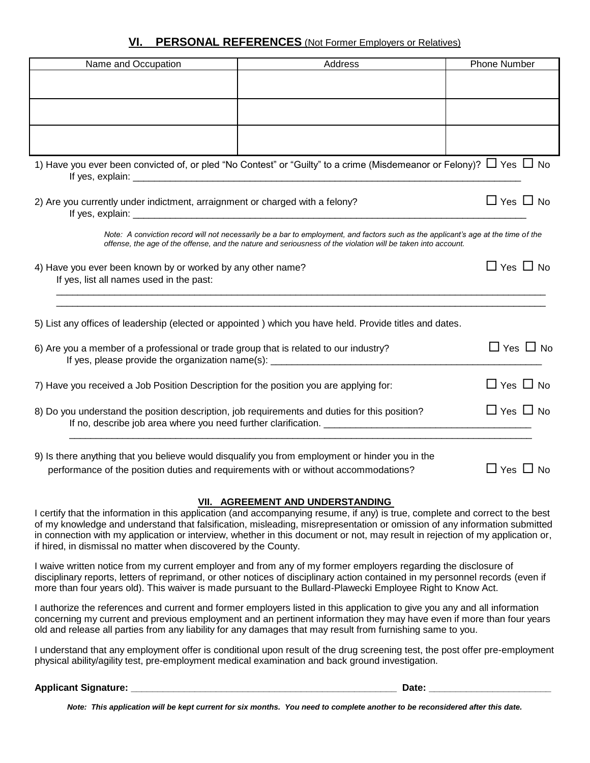### **VI. PERSONAL REFERENCES** (Not Former Employers or Relatives)

| Name and Occupation                                                                                     | Address                                                                                                                                                                                                                                           | <b>Phone Number</b>  |
|---------------------------------------------------------------------------------------------------------|---------------------------------------------------------------------------------------------------------------------------------------------------------------------------------------------------------------------------------------------------|----------------------|
|                                                                                                         |                                                                                                                                                                                                                                                   |                      |
|                                                                                                         |                                                                                                                                                                                                                                                   |                      |
|                                                                                                         |                                                                                                                                                                                                                                                   |                      |
|                                                                                                         |                                                                                                                                                                                                                                                   |                      |
|                                                                                                         | 1) Have you ever been convicted of, or pled "No Contest" or "Guilty" to a crime (Misdemeanor or Felony)? $\Box$ Yes $\Box$ No                                                                                                                     |                      |
| 2) Are you currently under indictment, arraignment or charged with a felony?                            |                                                                                                                                                                                                                                                   | $\Box$ Yes $\Box$ No |
|                                                                                                         | Note: A conviction record will not necessarily be a bar to employment, and factors such as the applicant's age at the time of the<br>offense, the age of the offense, and the nature and seriousness of the violation will be taken into account. |                      |
| 4) Have you ever been known by or worked by any other name?<br>If yes, list all names used in the past: |                                                                                                                                                                                                                                                   | $\Box$ Yes $\Box$ No |
|                                                                                                         | 5) List any offices of leadership (elected or appointed) which you have held. Provide titles and dates.                                                                                                                                           |                      |
| 6) Are you a member of a professional or trade group that is related to our industry?                   | If yes, please provide the organization name(s): ________________________________                                                                                                                                                                 | $\Box$ Yes $\Box$ No |
| 7) Have you received a Job Position Description for the position you are applying for:                  |                                                                                                                                                                                                                                                   | $\Box$ Yes $\Box$ No |
| 8) Do you understand the position description, job requirements and duties for this position?           |                                                                                                                                                                                                                                                   | $\Box$ Yes $\Box$ No |
| 9) Is there anything that you believe would disqualify you from employment or hinder you in the         |                                                                                                                                                                                                                                                   |                      |
| performance of the position duties and requirements with or without accommodations?                     |                                                                                                                                                                                                                                                   | $\Box$ Yes $\Box$ No |

#### **VII. AGREEMENT AND UNDERSTANDING**

I certify that the information in this application (and accompanying resume, if any) is true, complete and correct to the best of my knowledge and understand that falsification, misleading, misrepresentation or omission of any information submitted in connection with my application or interview, whether in this document or not, may result in rejection of my application or, if hired, in dismissal no matter when discovered by the County.

I waive written notice from my current employer and from any of my former employers regarding the disclosure of disciplinary reports, letters of reprimand, or other notices of disciplinary action contained in my personnel records (even if more than four years old). This waiver is made pursuant to the Bullard-Plawecki Employee Right to Know Act.

I authorize the references and current and former employers listed in this application to give you any and all information concerning my current and previous employment and an pertinent information they may have even if more than four years old and release all parties from any liability for any damages that may result from furnishing same to you.

I understand that any employment offer is conditional upon result of the drug screening test, the post offer pre-employment physical ability/agility test, pre-employment medical examination and back ground investigation.

#### **Applicant Signature: \_\_\_\_\_\_\_\_\_\_\_\_\_\_\_\_\_\_\_\_\_\_\_\_\_\_\_\_\_\_\_\_\_\_\_\_\_\_\_\_\_\_\_\_\_\_\_\_\_\_ Date: \_\_\_\_\_\_\_\_\_\_\_\_\_\_\_\_\_\_\_\_\_\_\_**

*Note: This application will be kept current for six months. You need to complete another to be reconsidered after this date.*